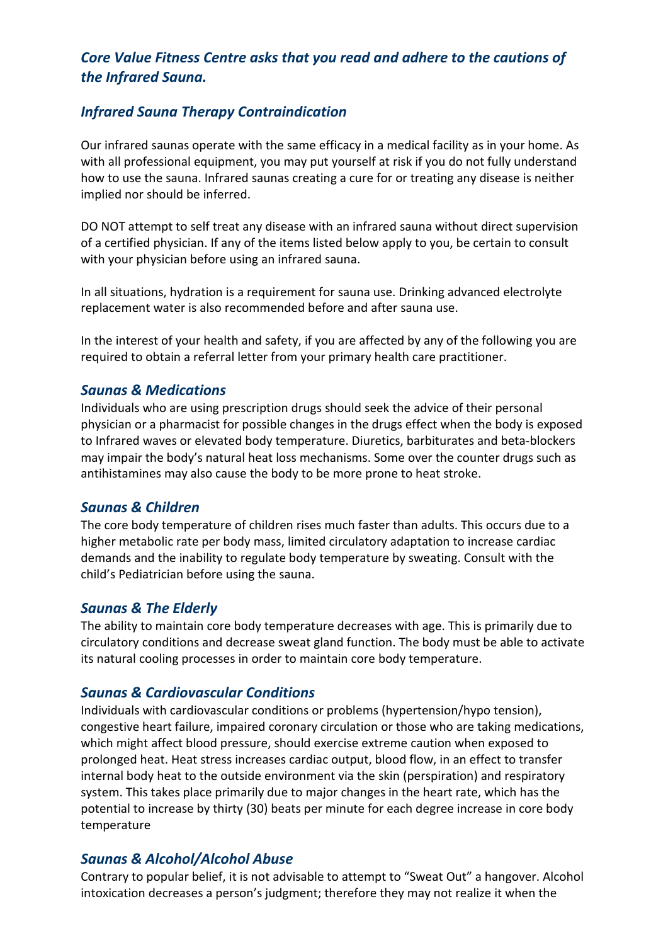# *Core Value Fitness Centre asks that you read and adhere to the cautions of the Infrared Sauna.*

## *Infrared Sauna Therapy Contraindication*

Our infrared saunas operate with the same efficacy in a medical facility as in your home. As with all professional equipment, you may put yourself at risk if you do not fully understand how to use the sauna. Infrared saunas creating a cure for or treating any disease is neither implied nor should be inferred.

DO NOT attempt to self treat any disease with an infrared sauna without direct supervision of a certified physician. If any of the items listed below apply to you, be certain to consult with your physician before using an infrared sauna.

In all situations, hydration is a requirement for sauna use. Drinking advanced electrolyte replacement water is also recommended before and after sauna use.

In the interest of your health and safety, if you are affected by any of the following you are required to obtain a referral letter from your primary health care practitioner.

### *Saunas & Medications*

Individuals who are using prescription drugs should seek the advice of their personal physician or a pharmacist for possible changes in the drugs effect when the body is exposed to Infrared waves or elevated body temperature. Diuretics, barbiturates and beta-blockers may impair the body's natural heat loss mechanisms. Some over the counter drugs such as antihistamines may also cause the body to be more prone to heat stroke.

### *Saunas & Children*

The core body temperature of children rises much faster than adults. This occurs due to a higher metabolic rate per body mass, limited circulatory adaptation to increase cardiac demands and the inability to regulate body temperature by sweating. Consult with the child's Pediatrician before using the sauna.

### *Saunas & The Elderly*

The ability to maintain core body temperature decreases with age. This is primarily due to circulatory conditions and decrease sweat gland function. The body must be able to activate its natural cooling processes in order to maintain core body temperature.

### *Saunas & Cardiovascular Conditions*

Individuals with cardiovascular conditions or problems (hypertension/hypo tension), congestive heart failure, impaired coronary circulation or those who are taking medications, which might affect blood pressure, should exercise extreme caution when exposed to prolonged heat. Heat stress increases cardiac output, blood flow, in an effect to transfer internal body heat to the outside environment via the skin (perspiration) and respiratory system. This takes place primarily due to major changes in the heart rate, which has the potential to increase by thirty (30) beats per minute for each degree increase in core body temperature

## *Saunas & Alcohol/Alcohol Abuse*

Contrary to popular belief, it is not advisable to attempt to "Sweat Out" a hangover. Alcohol intoxication decreases a person's judgment; therefore they may not realize it when the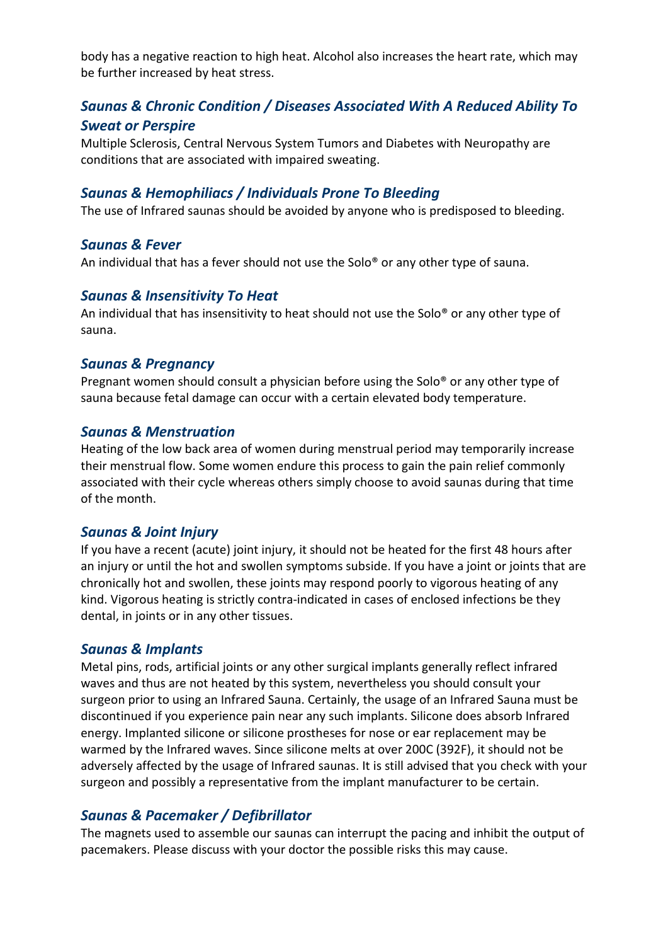body has a negative reaction to high heat. Alcohol also increases the heart rate, which may be further increased by heat stress.

# *Saunas & Chronic Condition / Diseases Associated With A Reduced Ability To Sweat or Perspire*

Multiple Sclerosis, Central Nervous System Tumors and Diabetes with Neuropathy are conditions that are associated with impaired sweating.

### *Saunas & Hemophiliacs / Individuals Prone To Bleeding*

The use of Infrared saunas should be avoided by anyone who is predisposed to bleeding.

### *Saunas & Fever*

An individual that has a fever should not use the Solo® or any other type of sauna.

#### *Saunas & Insensitivity To Heat*

An individual that has insensitivity to heat should not use the Solo® or any other type of sauna.

#### *Saunas & Pregnancy*

Pregnant women should consult a physician before using the Solo® or any other type of sauna because fetal damage can occur with a certain elevated body temperature.

#### *Saunas & Menstruation*

Heating of the low back area of women during menstrual period may temporarily increase their menstrual flow. Some women endure this process to gain the pain relief commonly associated with their cycle whereas others simply choose to avoid saunas during that time of the month.

### *Saunas & Joint Injury*

If you have a recent (acute) joint injury, it should not be heated for the first 48 hours after an injury or until the hot and swollen symptoms subside. If you have a joint or joints that are chronically hot and swollen, these joints may respond poorly to vigorous heating of any kind. Vigorous heating is strictly contra-indicated in cases of enclosed infections be they dental, in joints or in any other tissues.

#### *Saunas & Implants*

Metal pins, rods, artificial joints or any other surgical implants generally reflect infrared waves and thus are not heated by this system, nevertheless you should consult your surgeon prior to using an Infrared Sauna. Certainly, the usage of an Infrared Sauna must be discontinued if you experience pain near any such implants. Silicone does absorb Infrared energy. Implanted silicone or silicone prostheses for nose or ear replacement may be warmed by the Infrared waves. Since silicone melts at over 200C (392F), it should not be adversely affected by the usage of Infrared saunas. It is still advised that you check with your surgeon and possibly a representative from the implant manufacturer to be certain.

## *Saunas & Pacemaker / Defibrillator*

The magnets used to assemble our saunas can interrupt the pacing and inhibit the output of pacemakers. Please discuss with your doctor the possible risks this may cause.